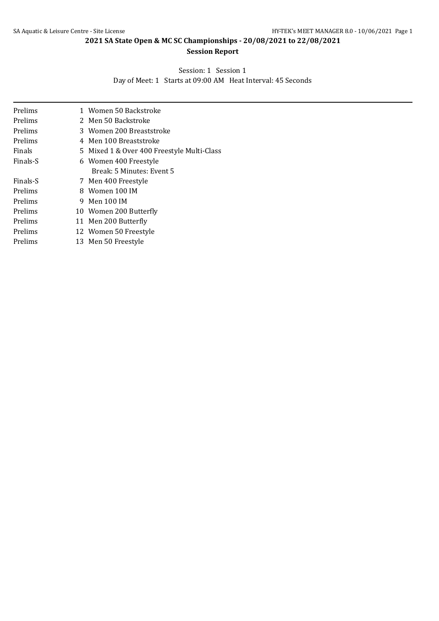# **Session Report**

Session: 1 Session 1

Day of Meet: 1 Starts at 09:00 AM Heat Interval: 45 Seconds

| Prelims  | 1 Women 50 Backstroke                      |
|----------|--------------------------------------------|
| Prelims  | 2 Men 50 Backstroke                        |
| Prelims  | 3 Women 200 Breaststroke                   |
| Prelims  | 4 Men 100 Breaststroke                     |
| Finals   | 5 Mixed 1 & Over 400 Freestyle Multi-Class |
| Finals-S | 6 Women 400 Freestyle                      |
|          | Break: 5 Minutes: Event 5                  |
| Finals-S | 7 Men 400 Freestyle                        |
| Prelims  | 8 Women 100 IM                             |
| Prelims  | 9 Men 100 IM                               |
| Prelims  | 10 Women 200 Butterfly                     |
| Prelims  | 11 Men 200 Butterfly                       |
| Prelims  | 12 Women 50 Freestyle                      |
| Prelims  | 13 Men 50 Freestyle                        |
|          |                                            |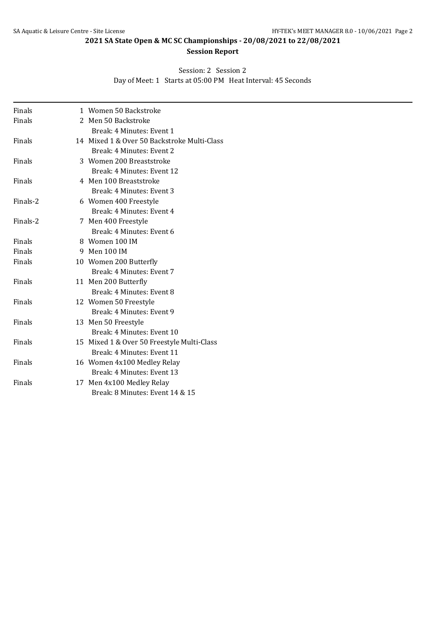# **Session Report**

#### Session: 2 Session 2

Day of Meet: 1 Starts at 05:00 PM Heat Interval: 45 Seconds

| Finals   | 1 Women 50 Backstroke                       |
|----------|---------------------------------------------|
| Finals   | 2 Men 50 Backstroke                         |
|          | Break: 4 Minutes: Event 1                   |
| Finals   | 14 Mixed 1 & Over 50 Backstroke Multi-Class |
|          | Break: 4 Minutes: Event 2                   |
| Finals   | 3 Women 200 Breaststroke                    |
|          | Break: 4 Minutes: Event 12                  |
| Finals   | 4 Men 100 Breaststroke                      |
|          | Break: 4 Minutes: Event 3                   |
| Finals-2 | 6 Women 400 Freestyle                       |
|          | Break: 4 Minutes: Event 4                   |
| Finals-2 | 7 Men 400 Freestyle                         |
|          | Break: 4 Minutes: Event 6                   |
| Finals   | 8 Women 100 IM                              |
| Finals   | 9 Men 100 IM                                |
| Finals   | 10 Women 200 Butterfly                      |
|          | Break: 4 Minutes: Event 7                   |
| Finals   | 11 Men 200 Butterfly                        |
|          | Break: 4 Minutes: Event 8                   |
| Finals   | 12 Women 50 Freestyle                       |
|          | Break: 4 Minutes: Event 9                   |
| Finals   | 13 Men 50 Freestyle                         |
|          | Break: 4 Minutes: Event 10                  |
| Finals   | 15 Mixed 1 & Over 50 Freestyle Multi-Class  |
|          | Break: 4 Minutes: Event 11                  |
| Finals   | 16 Women 4x100 Medley Relay                 |
|          | Break: 4 Minutes: Event 13                  |
| Finals   | 17 Men 4x100 Medley Relay                   |
|          | Break: 8 Minutes: Event 14 & 15             |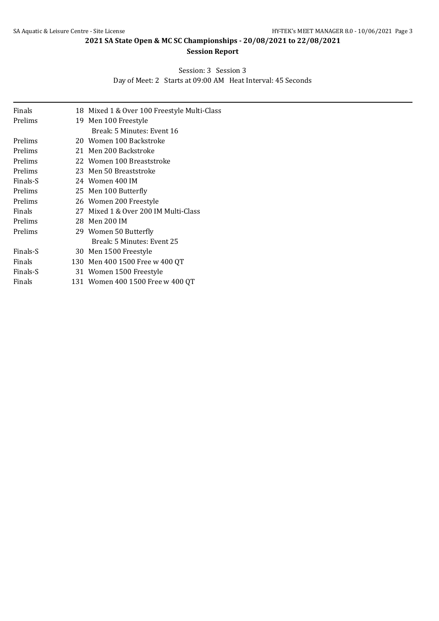# **Session Report**

# Session: 3 Session 3

Day of Meet: 2 Starts at 09:00 AM Heat Interval: 45 Seconds

| Finals   | 18 Mixed 1 & Over 100 Freestyle Multi-Class |
|----------|---------------------------------------------|
| Prelims  | 19 Men 100 Freestyle                        |
|          | Break: 5 Minutes: Event 16                  |
| Prelims  | 20 Women 100 Backstroke                     |
| Prelims  | 21 Men 200 Backstroke                       |
| Prelims  | 22 Women 100 Breaststroke                   |
| Prelims  | 23 Men 50 Breaststroke                      |
| Finals-S | 24 Women 400 IM                             |
| Prelims  | 25 Men 100 Butterfly                        |
| Prelims  | 26 Women 200 Freestyle                      |
| Finals   | 27 Mixed 1 & Over 200 IM Multi-Class        |
| Prelims  | 28 Men 200 IM                               |
| Prelims  | 29 Women 50 Butterfly                       |
|          | Break: 5 Minutes: Event 25                  |
| Finals-S | 30 Men 1500 Freestyle                       |
| Finals   | 130 Men 400 1500 Free w 400 QT              |
| Finals-S | 31 Women 1500 Freestyle                     |
| Finals   | 131 Women 400 1500 Free w 400 QT            |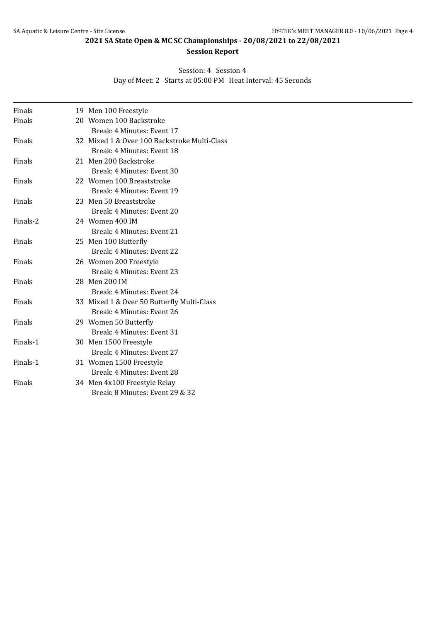# **Session Report**

# Session: 4 Session 4

Day of Meet: 2 Starts at 05:00 PM Heat Interval: 45 Seconds

| Finals   | 19 Men 100 Freestyle                         |
|----------|----------------------------------------------|
| Finals   | 20 Women 100 Backstroke                      |
|          | Break: 4 Minutes: Event 17                   |
| Finals   | 32 Mixed 1 & Over 100 Backstroke Multi-Class |
|          | Break: 4 Minutes: Event 18                   |
| Finals   | 21 Men 200 Backstroke                        |
|          | Break: 4 Minutes: Event 30                   |
| Finals   | 22 Women 100 Breaststroke                    |
|          | Break: 4 Minutes: Event 19                   |
| Finals   | 23 Men 50 Breaststroke                       |
|          | Break: 4 Minutes: Event 20                   |
| Finals-2 | 24 Women 400 IM                              |
|          | Break: 4 Minutes: Event 21                   |
| Finals   | 25 Men 100 Butterfly                         |
|          | Break: 4 Minutes: Event 22                   |
| Finals   | 26 Women 200 Freestyle                       |
|          | Break: 4 Minutes: Event 23                   |
| Finals   | 28 Men 200 IM                                |
|          | Break: 4 Minutes: Event 24                   |
| Finals   | 33 Mixed 1 & Over 50 Butterfly Multi-Class   |
|          | Break: 4 Minutes: Event 26                   |
| Finals   | 29 Women 50 Butterfly                        |
|          | Break: 4 Minutes: Event 31                   |
| Finals-1 | 30 Men 1500 Freestyle                        |
|          | Break: 4 Minutes: Event 27                   |
| Finals-1 | 31 Women 1500 Freestyle                      |
|          | Break: 4 Minutes: Event 28                   |
| Finals   | 34 Men 4x100 Freestyle Relay                 |
|          | Break: 8 Minutes: Event 29 & 32              |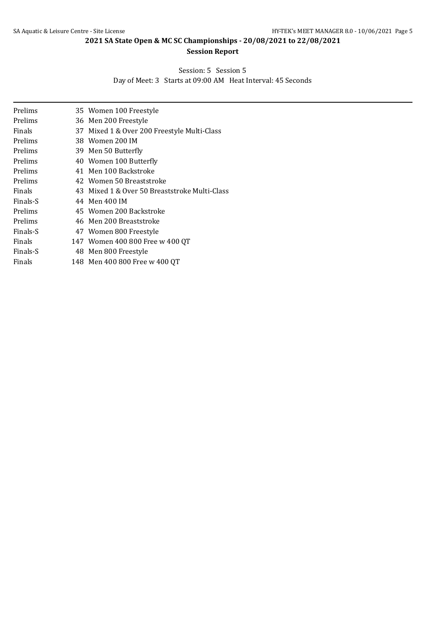# **Session Report**

#### Session: 5 Session 5

Day of Meet: 3 Starts at 09:00 AM Heat Interval: 45 Seconds

| Prelims  | 35 Women 100 Freestyle                        |
|----------|-----------------------------------------------|
| Prelims  | 36 Men 200 Freestyle                          |
| Finals   | 37 Mixed 1 & Over 200 Freestyle Multi-Class   |
| Prelims  | 38 Women 200 IM                               |
| Prelims  | 39 Men 50 Butterfly                           |
| Prelims  | 40 Women 100 Butterfly                        |
| Prelims  | 41 Men 100 Backstroke                         |
| Prelims  | 42 Women 50 Breaststroke                      |
| Finals   | 43 Mixed 1 & Over 50 Breaststroke Multi-Class |
| Finals-S | 44 Men 400 IM                                 |
| Prelims  | 45 Women 200 Backstroke                       |
| Prelims  | 46 Men 200 Breaststroke                       |
| Finals-S | 47 Women 800 Freestyle                        |
| Finals   | 147 Women 400 800 Free w 400 QT               |
| Finals-S | 48 Men 800 Freestyle                          |
| Finals   | 148 Men 400 800 Free w 400 QT                 |
|          |                                               |